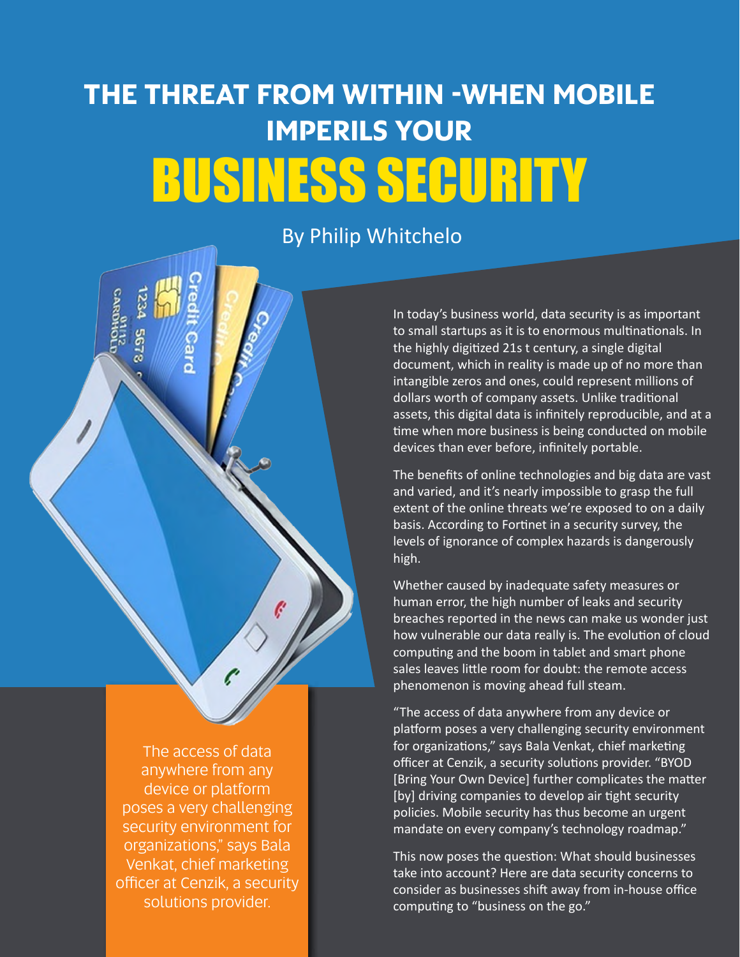# **The Threat from Within -When Mobile Imperils Your** Business Security

#### By Philip Whitchelo

In today's business world, data security is as important to small startups as it is to enormous multinationals. In the highly digitized 21s t century, a single digital document, which in reality is made up of no more than intangible zeros and ones, could represent millions of dollars worth of company assets. Unlike traditional assets, this digital data is infinitely reproducible, and at a time when more business is being conducted on mobile devices than ever before, infinitely portable.

The benefits of online technologies and big data are vast and varied, and it's nearly impossible to grasp the full extent of the online threats we're exposed to on a daily basis. According to Fortinet in a security survey, the levels of ignorance of complex hazards is dangerously high.

Whether caused by inadequate safety measures or human error, the high number of leaks and security breaches reported in the news can make us wonder just how vulnerable our data really is. The evolution of cloud computing and the boom in tablet and smart phone sales leaves little room for doubt: the remote access phenomenon is moving ahead full steam.

"The access of data anywhere from any device or platform poses a very challenging security environment for organizations," says Bala Venkat, chief marketing officer at Cenzik, a security solutions provider. "BYOD [Bring Your Own Device] further complicates the matter [by] driving companies to develop air tight security policies. Mobile security has thus become an urgent mandate on every company's technology roadmap."

This now poses the question: What should businesses take into account? Here are data security concerns to consider as businesses shift away from in-house office computing to "business on the go."

The access of data anywhere from any device or platform poses a very challenging security environment for organizations," says Bala Venkat, chief marketing officer at Cenzik, a security solutions provider.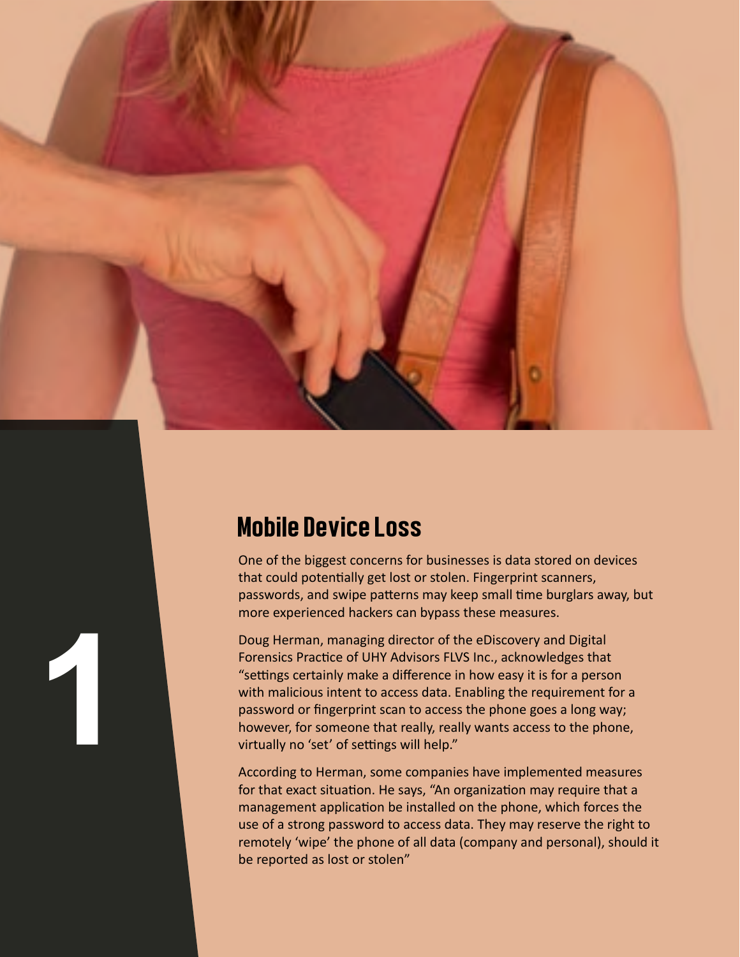

## Mobile Device Loss

**1**

One of the biggest concerns for businesses is data stored on devices that could potentially get lost or stolen. Fingerprint scanners, passwords, and swipe patterns may keep small time burglars away, but more experienced hackers can bypass these measures.

Doug Herman, managing director of the eDiscovery and Digital Forensics Practice of UHY Advisors FLVS Inc., acknowledges that "settings certainly make a difference in how easy it is for a person with malicious intent to access data. Enabling the requirement for a password or fingerprint scan to access the phone goes a long way; however, for someone that really, really wants access to the phone, virtually no 'set' of settings will help."

According to Herman, some companies have implemented measures for that exact situation. He says, "An organization may require that a management application be installed on the phone, which forces the use of a strong password to access data. They may reserve the right to remotely 'wipe' the phone of all data (company and personal), should it be reported as lost or stolen"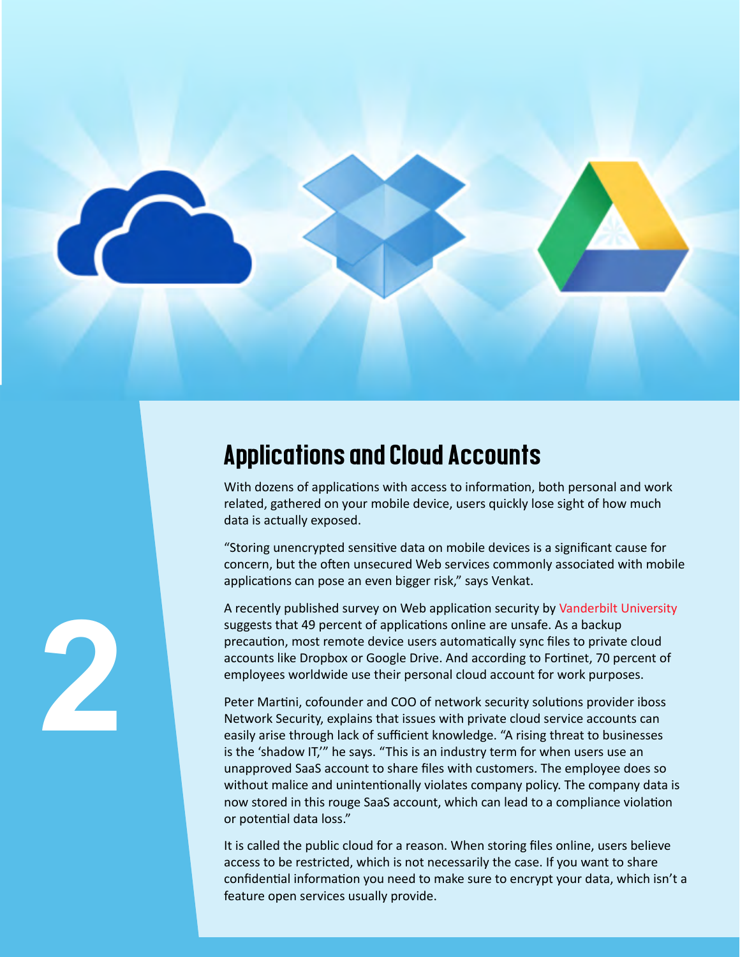![](_page_2_Figure_0.jpeg)

### Applications and Cloud Accounts

With dozens of applications with access to information, both personal and work related, gathered on your mobile device, users quickly lose sight of how much data is actually exposed.

"Storing unencrypted sensitive data on mobile devices is a significant cause for concern, but the often unsecured Web services commonly associated with mobile applications can pose an even bigger risk," says Venkat.

A recently published survey on Web application security by [Vanderbilt University](http://www.isis.vanderbilt.edu/sites/default/files/main_0.pdf) suggests that 49 percent of applications online are unsafe. As a backup precaution, most remote device users automatically sync files to private cloud accounts like Dropbox or Google Drive. And according to Fortinet, 70 percent of employees worldwide use their personal cloud account for work purposes.

Peter Martini, cofounder and COO of network security solutions provider iboss Network Security, explains that issues with private cloud service accounts can easily arise through lack of sufficient knowledge. "A rising threat to businesses is the 'shadow IT,'" he says. "This is an industry term for when users use an unapproved SaaS account to share files with customers. The employee does so without malice and unintentionally violates company policy. The company data is now stored in this rouge SaaS account, which can lead to a compliance violation or potential data loss."

It is called the public cloud for a reason. When storing files online, users believe access to be restricted, which is not necessarily the case. If you want to share confidential information you need to make sure to encrypt your data, which isn't a feature open services usually provide.

![](_page_2_Figure_7.jpeg)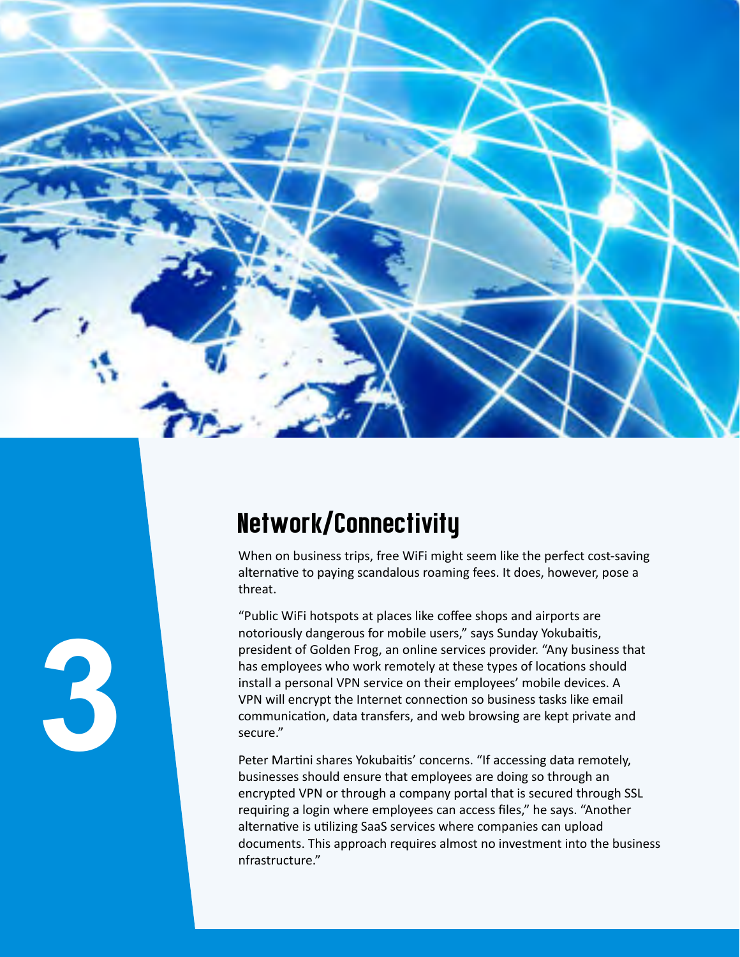![](_page_3_Picture_0.jpeg)

# Network/Connectivity

When on business trips, free WiFi might seem like the perfect cost-saving alternative to paying scandalous roaming fees. It does, however, pose a threat.

"Public WiFi hotspots at places like coffee shops and airports are notoriously dangerous for mobile users," says Sunday Yokubaitis, president of Golden Frog, an online services provider. "Any business that has employees who work remotely at these types of locations should install a personal VPN service on their employees' mobile devices. A VPN will encrypt the Internet connection so business tasks like email communication, data transfers, and web browsing are kept private and secure."

Peter Martini shares Yokubaitis' concerns. "If accessing data remotely, businesses should ensure that employees are doing so through an encrypted VPN or through a company portal that is secured through SSL requiring a login where employees can access files," he says. "Another alternative is utilizing SaaS services where companies can upload documents. This approach requires almost no investment into the business nfrastructure."

![](_page_3_Figure_5.jpeg)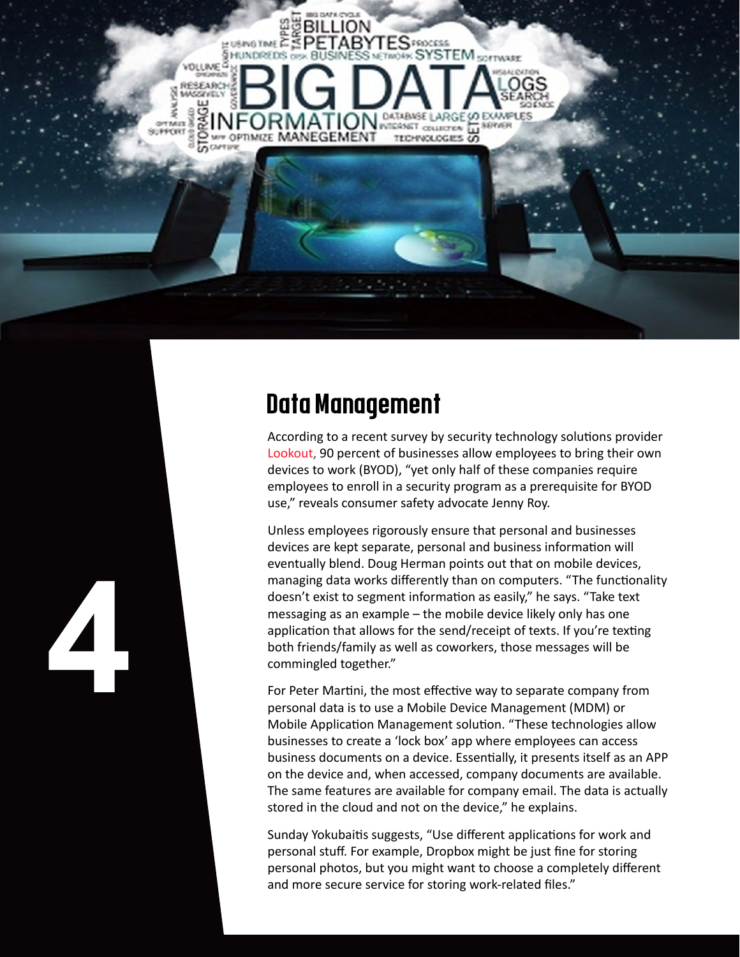![](_page_4_Picture_0.jpeg)

# Data Management

**4**

According to a recent survey by security technology solutions provider [Lookout](https://www.lookout.com/resources/reports/byod-mobile-security), 90 percent of businesses allow employees to bring their own devices to work (BYOD), "yet only half of these companies require employees to enroll in a security program as a prerequisite for BYOD use," reveals consumer safety advocate Jenny Roy.

Unless employees rigorously ensure that personal and businesses devices are kept separate, personal and business information will eventually blend. Doug Herman points out that on mobile devices, managing data works differently than on computers. "The functionality doesn't exist to segment information as easily," he says. "Take text messaging as an example – the mobile device likely only has one application that allows for the send/receipt of texts. If you're texting both friends/family as well as coworkers, those messages will be commingled together."

For Peter Martini, the most effective way to separate company from personal data is to use a Mobile Device Management (MDM) or Mobile Application Management solution. "These technologies allow businesses to create a 'lock box' app where employees can access business documents on a device. Essentially, it presents itself as an APP on the device and, when accessed, company documents are available. The same features are available for company email. The data is actually stored in the cloud and not on the device," he explains.

Sunday Yokubaitis suggests, "Use different applications for work and personal stuff. For example, Dropbox might be just fine for storing personal photos, but you might want to choose a completely different and more secure service for storing work-related files."